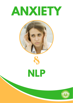# **ANXIETY**







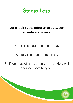

## Let's look at the difference between anxiety and stress.

Stress is a response to a threat.

Anxiety is a reaction to stress.

So if we deal with the stress, then anxiety will have no room to grow.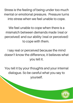Stress is the feeling of being under too much mental or emotional pressure. Pressure turns into stress when we feel unable to cope.

We feel unable to cope when there is a mismatch between demands made (real or perceived) and our ability (real or perceived) to cope with them.

I say real or perceived because the mind doesn't know the difference, it believes what you tell it.

You tell it by your thoughts and your internal dialogue. So be careful what you say to yourself.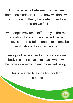It is the balance between how we view demands made on us, and how we think we can cope with them, that determines how stressed we feel.

Two people may react differently to the same situation, for example an event that is perceived as stressful for one person may be motivational to someone else.

Feelings of tension and anxiety are normal body reactions that take place when we become aware of a threat to our wellbeing.

This is referred to as the fight or flight response.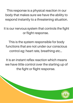This response is a physical reaction in our body that makes sure we have the ability to respond instantly to a threatening situation.

It is our nervous system that controls the fight or flight response.

This is the system responsible for body functions that are not under our conscious control eg: heart rate, breathing etc…

It is an instant reflex reaction which means we have little control over the starting up of the fight or flight response.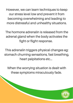However, we can learn techniques to keep our stress level low and prevent it from becoming overwhelming and leading to more distressful and unhealthy situations.

The hormone adrenalin is released from the adrenal gland when the body activates the fight or flight response.

This adrenalin triggers physical changes eg: stomach churning sensations, fast breathing, heart palpitations etc...

When the worrying situation is dealt with these symptoms miraculously fade.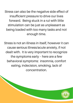Stress can also be the negative side effect of insufficient pressure to drive our lives forward. Being stuck in a rut with little stimulation can be just as unpleasant as being loaded with too many tasks and not enough time.

Stress is not an illness in itself, however it can cause serious illness/acute anxiety, if not dealt with. It is very important to recognize the symptoms early – here are a few behavioral symptoms: insomnia, comfort eating, indecision, smoking, lack of concentration.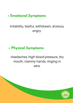# **Emotional Symptoms**

# Irritability, tearful, withdrawn, anxious, angry.

# **Physical Symptoms**

Headaches, high blood pressure, dry mouth, clammy hands, ringing in ears.

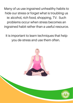Many of us use ingrained unhealthy habits to hide our stress or forget what is troubling us ie: alcohol, rich food, shopping, TV. Such problems occur when stress becomes an ingrained habit rather than a useful resource.

It is important to learn techniques that help you de-stress and use them often.

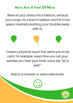# **Here Are A Few Of Mine**

Blow all your stress into a balloon, exhaust your lungs, tie a knot in balloon and hit it into space (mentally pushing your troubles away with it).



Create a physical touch that alerts you to be calm, for example, every time you rub your earlobe you hear your inner voice say "all is well."

Watch a comedy or read a joke book.